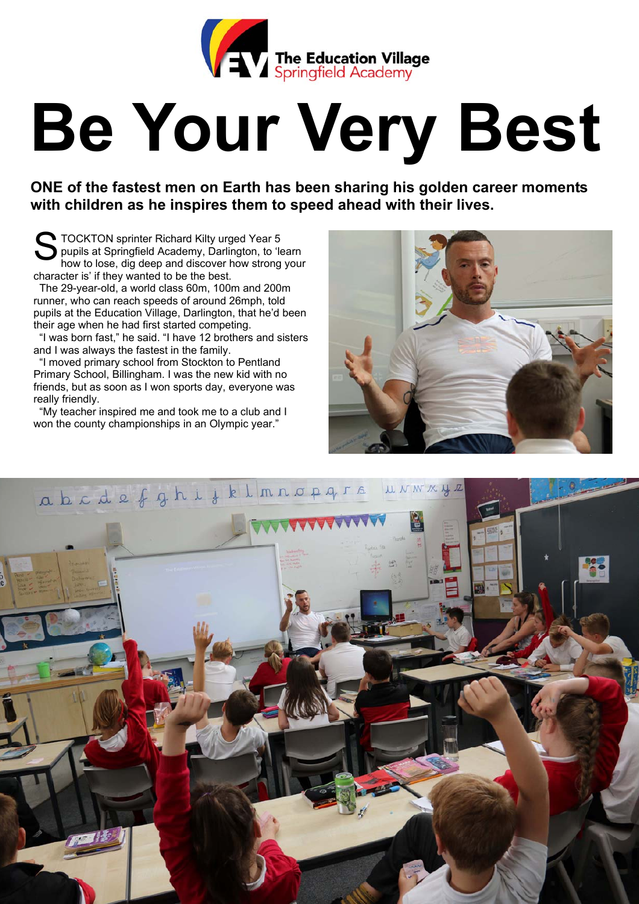

## **Be Your Very Best**

**ONE of the fastest men on Earth has been sharing his golden career moments with children as he inspires them to speed ahead with their lives.** 

TOCKTON sprinter Richard Kilty urged Year 5<br>pupils at Springfield Academy, Darlington, to 'le<br>how to lose, dig deep and discover how strong pupils at Springfield Academy, Darlington, to 'learn how to lose, dig deep and discover how strong your character is' if they wanted to be the best.

 The 29-year-old, a world class 60m, 100m and 200m runner, who can reach speeds of around 26mph, told pupils at the Education Village, Darlington, that he'd been their age when he had first started competing.

 "I was born fast," he said. "I have 12 brothers and sisters and I was always the fastest in the family.

 "I moved primary school from Stockton to Pentland Primary School, Billingham. I was the new kid with no friends, but as soon as I won sports day, everyone was really friendly.

 "My teacher inspired me and took me to a club and I won the county championships in an Olympic year."